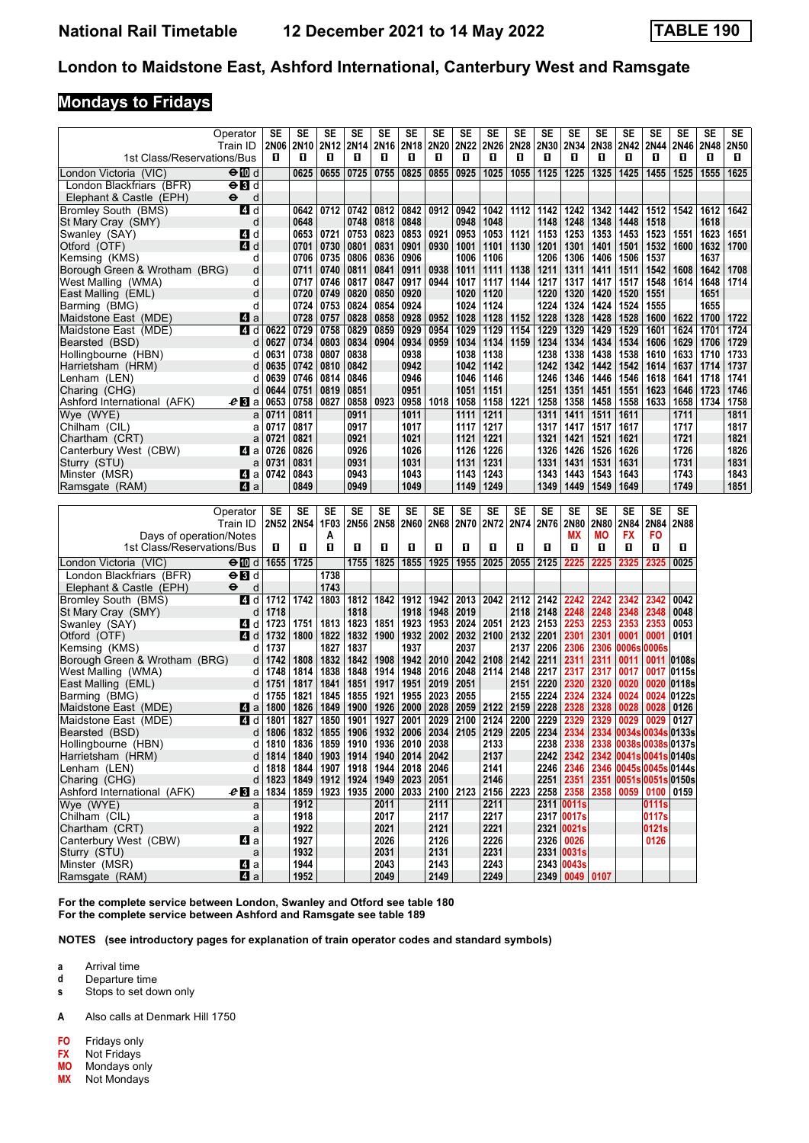### **Mondays to Fridays**

| 1st Class/Reservations/Bus               | Operator<br>Train ID      | SE<br>2N06<br>0 | SE<br><b>2N10</b><br>O | SE<br>2N <sub>12</sub><br>0 | SE<br>0                                           | SE<br>2N14 2N16 2N18<br>0 | SE<br>0            | SE<br>  2N20   2N22<br>0 | SE<br>0      | SE<br>2N26 2N28<br>0 | <b>SE</b><br>0                                        | SE<br>2N30<br>О | SE<br>2N34<br>0              | SE<br>2N38<br>O | SE<br>2N42<br>O | SE<br>2N44<br>0                                            | SE<br>2N46   2N48<br>0 | SE<br>0      | SE<br>2N50<br>O |
|------------------------------------------|---------------------------|-----------------|------------------------|-----------------------------|---------------------------------------------------|---------------------------|--------------------|--------------------------|--------------|----------------------|-------------------------------------------------------|-----------------|------------------------------|-----------------|-----------------|------------------------------------------------------------|------------------------|--------------|-----------------|
| London Victoria (VIC)                    | $\Theta$ 10 d             |                 | 0625                   | 0655                        | 0725                                              | 0755                      | 0825               | 0855                     | 0925         | 1025                 | 1055                                                  | 1125            | 1225                         | 1325            | 1425            | 1455                                                       | 1525                   | 1555         | 1625            |
| London Blackfriars (BFR)                 | $\Theta$ $\blacksquare$ d |                 |                        |                             |                                                   |                           |                    |                          |              |                      |                                                       |                 |                              |                 |                 |                                                            |                        |              |                 |
| Elephant & Castle (EPH)                  | $\bullet$<br>d            |                 |                        |                             |                                                   |                           |                    |                          |              |                      |                                                       |                 |                              |                 |                 |                                                            |                        |              |                 |
| Bromley South (BMS)                      | 4 d                       |                 | 0642                   | 0712                        | 0742                                              | 0812                      | 0842               | 0912                     | 0942         | 1042                 | 1112                                                  | 1142            | 1242                         | 1342            | 1442            | 1512                                                       | 1542                   | 1612         | 1642            |
| St Mary Cray (SMY)                       | d                         |                 | 0648                   |                             | 0748                                              | 0818                      | 0848               | 0921                     | 0948<br>0953 | 1048                 |                                                       | 1148            | 1248                         | 1348            | 1448            | 1518                                                       |                        | 1618         |                 |
| Swanley (SAY)<br>Otford (OTF)            | 4 d<br><b>4</b> d         |                 | 0653<br>0701           | 0721<br>0730                | 0753<br>0801                                      | 0823<br>0831              | 0853<br>0901       | 0930                     | 1001         | 1053<br>1101         | 1121<br>1130                                          | 1153<br>1201    | 1253<br>1301                 | 1353<br>1401    | 1453<br>1501    | 1523<br>1532                                               | 1551<br>1600           | 1623<br>1632 | 1651<br>1700    |
| Kemsing (KMS)                            | d                         |                 | 0706                   | 0735                        | 0806                                              | 0836                      | 0906               |                          | 1006         | 1106                 |                                                       | 1206            | 1306                         | 1406            | 1506            | 1537                                                       |                        | 1637         |                 |
| Borough Green & Wrotham (BRG)            | d                         |                 | 0711                   | 0740                        | 0811                                              | 0841                      | 0911               | 0938                     | 1011         | 1111                 | 1138                                                  | 1211            | 1311                         | 1411            | 1511            | 1542                                                       | 1608                   | 1642         | 1708            |
| West Malling (WMA)                       | d                         |                 | 0717                   | 0746                        | 0817                                              | 0847                      | 0917               | 0944                     | 1017         | 1117                 | 1144                                                  | 1217            | 1317                         | 1417            | 1517            | 1548                                                       | 1614                   | 1648         | 1714            |
| East Malling (EML)                       | d                         |                 | 0720                   | 0749                        | 0820                                              | 0850                      | 0920               |                          | 1020         | 1120                 |                                                       | 1220            | 1320                         | 1420            | 1520            | 1551                                                       |                        | 1651         |                 |
| Barming (BMG)                            | d                         |                 | 0724                   | 0753                        | 0824                                              | 0854                      | 0924               |                          | 1024         | 1124                 |                                                       | 1224            | 1324                         | 1424            | 1524            | 1555                                                       |                        | 1655         |                 |
| Maidstone East (MDE)                     | Z1 a                      |                 | 0728                   | 0757                        | 0828                                              | 0858                      | 0928               | 0952                     | 1028         | 1128                 | 1152                                                  | 1228            | 1328                         | 1428            | 1528            | 1600                                                       | 1622                   | 1700         | 1722            |
| Maidstone East (MDE)                     | 4 d                       | 0622            | 0729                   | 0758                        | 0829                                              | 0859                      | 0929               | 0954                     | 1029         | 1129                 | 1154                                                  | 1229            | 1329                         | 1429            | 1529            | 1601                                                       | 1624                   | 1701         | 1724            |
| Bearsted (BSD)                           | d                         | 0627            | 0734                   | 0803                        | 0834                                              | 0904                      | 0934               | 0959                     | 1034         | 1134                 | 1159                                                  | 1234            | 1334                         | 1434            | 1534            | 1606                                                       | 1629                   | 1706         | 1729            |
| Hollingbourne (HBN)                      | d                         | 0631            | 0738                   | 0807                        | 0838                                              |                           | 0938               |                          | 1038         | 1138                 |                                                       | 1238            | 1338                         | 1438            | 1538            | 1610                                                       | 1633                   | 1710         | 1733            |
| Harrietsham (HRM)                        | d                         | 0635            | 0742                   | 0810                        | 0842                                              |                           | 0942               |                          | 1042         | 1142                 |                                                       | 1242            | 1342                         | 1442            | 1542            | 1614                                                       |                        | 1637   1714  | 1737            |
| Lenham (LEN)                             | d                         | 0639            | 0746                   | 0814                        | 0846                                              |                           | 0946               |                          | 1046         | 1146                 |                                                       | 1246            | 1346                         | 1446            | 1546            | 1618                                                       | 1641                   | 1718         | 1741            |
| Charing (CHG)                            | d                         | 0644            | 0751                   | 0819                        | 0851                                              |                           | 0951               |                          | 1051         | 1151                 |                                                       | 1251            | 1351                         | 1451            | 1551            | 1623                                                       | 1646   1723            |              | 1746            |
| Ashford International (AFK)              | $e_{\rm B}$ a             | 0653            | 0758                   | 0827                        | 0858                                              | 0923                      | 0958               | 1018                     | 1058         | 1158                 | 1221                                                  | 1258            | 1358                         | 1458            | 1558            | 1633                                                       | 1658   1734            |              | 1758            |
| Wye (WYE)                                | a                         | 0711            | 0811                   |                             | 0911                                              |                           | 1011               |                          | 1111         | 1211<br>1217         |                                                       | 1311            | 1411                         | 1511            | 1611            |                                                            | 1711<br>1717           |              | 1811            |
| Chilham (CIL)<br>Chartham (CRT)          | a                         | 0717<br>0721    | 0817<br>0821           |                             | 0917<br>0921                                      |                           | 1017<br>1021       |                          | 1117<br>1121 | 1221                 |                                                       | 1317<br>1321    | 1417<br>1421                 | 1517<br>1521    | 1617<br>1621    |                                                            | 1721                   |              | 1817<br>1821    |
| Canterbury West (CBW)                    | a<br>ZI a                 | 0726            | 0826                   |                             | 0926                                              |                           | 1026               |                          | 1126         | 1226                 |                                                       | 1326            | 1426                         | 1526            | 1626            |                                                            | 1726                   |              | 1826            |
| Sturry (STU)                             | a                         | 0731            | 0831                   |                             | 0931                                              |                           | 1031               |                          | 1131         | 1231                 |                                                       | 1331            | 1431                         | 1531            | 1631            |                                                            | 1731                   |              | 1831            |
| Minster (MSR)                            | 41 a                      | 0742            | 0843                   |                             | 0943                                              |                           | 1043               |                          | 1143         | 1243                 |                                                       | 1343            | 1443                         | 1543            | 1643            |                                                            | 1743                   |              | 1843            |
| Ramsgate (RAM)                           | Z1 a                      |                 | 0849                   |                             | 0949                                              |                           | 1049               |                          | 1149         | 1249                 |                                                       | 1349            | 1449                         | 1549            | 1649            |                                                            | 1749                   |              | 1851            |
|                                          |                           |                 |                        |                             |                                                   |                           |                    |                          |              |                      |                                                       |                 |                              |                 |                 |                                                            |                        |              |                 |
|                                          | Operator                  | SE              | SE                     | SE                          | SE                                                | SE                        | SE                 | SE                       | SE           | SE                   | SE                                                    | SE              | SE                           | SE              | SE              | SE                                                         | SE                     |              |                 |
|                                          |                           |                 |                        |                             |                                                   |                           |                    |                          |              |                      |                                                       |                 |                              |                 |                 |                                                            |                        |              |                 |
|                                          | Train ID                  | 2N52            | <b>2N54</b>            | 1F03                        | <b>2N56</b>                                       | 2N58 2N60                 |                    |                          | 2N68 2N70    |                      | 2N72 2N74 2N76                                        |                 | 2N80                         | 2N80            | 2N84            | 2N84                                                       | <b>2N88</b>            |              |                 |
|                                          | Days of operation/Notes   |                 |                        | A                           |                                                   |                           |                    |                          |              |                      |                                                       |                 | МX                           | ΜO              | <b>FX</b>       | FO                                                         |                        |              |                 |
| 1st Class/Reservations/Bus               |                           | п               | П                      | O                           | п                                                 | 0                         | П                  | O                        | п            | 0                    | п                                                     | п               | О                            | П               | О               | П                                                          | п                      |              |                 |
| London Victoria <i>(</i> VIC)            | $\Theta$ 10 d             | 1655            | 1725                   |                             | 1755                                              | 1825                      | 1855               | 1925                     | 1955         | 2025                 | 2055                                                  | 2125            | 2225                         | 2225            | 2325            | 2325                                                       | 0025                   |              |                 |
| London Blackfriars (BFR)                 | $\Theta$ $\blacksquare$ d |                 |                        | 1738                        |                                                   |                           |                    |                          |              |                      |                                                       |                 |                              |                 |                 |                                                            |                        |              |                 |
| Elephant & Castle (EPH)                  | $\bullet$<br>d            |                 |                        | 1743                        |                                                   |                           |                    |                          |              |                      |                                                       |                 |                              |                 |                 |                                                            |                        |              |                 |
| <b>Bromley South (BMS)</b>               | 4 d                       | 1712            | 1742                   | 1803                        | 1812                                              | 1842                      | 1912               | 1942                     | 2013         | 2042                 | 2112                                                  | 2142            | 2242                         | 2242            | 2342            | 2342                                                       | 0042                   |              |                 |
| St Mary Cray (SMY)                       | d                         | 1718            |                        |                             | 1818                                              |                           | 1918               | 1948                     | 2019         |                      | 2118                                                  | 2148            | 2248                         | 2248            | 2348            | 2348                                                       | 0048                   |              |                 |
| Swanley (SAY)                            | 41 d                      | 1723            | 1751                   | 1813                        | 1823                                              | 1851                      | 1923               | 1953                     | 2024         | 2051                 | 2123                                                  | 2153            | 2253                         | 2253            | 2353            | 2353                                                       | 0053                   |              |                 |
| Otford (OTF)                             | 4 d                       | 1732            | 1800                   | 1822                        | 1832                                              |                           | 1900   1932        |                          | 2002   2032  | 2100                 | 2132                                                  | 2201            | 2301                         | 2301            | 0001            | 0001                                                       | 0101                   |              |                 |
| Kemsing (KMS)                            | d                         | 1737            |                        | 1827                        | 1837                                              |                           | 1937               |                          | 2037         |                      | 2137                                                  | 2206            | 2306                         | 2306            | 0006s           | 0006s                                                      |                        |              |                 |
| Borough Green & Wrotham (BRG)            | d                         | 1742            | 1808                   | 1832                        | 1842                                              | 1908                      | 1942               | 2010                     | 2042         | 2108                 | 2142                                                  | 2211            | 2311                         | 2311            | 0011            |                                                            | 0011 0108s             |              |                 |
| West Malling (WMA)                       | d                         | 1748            | 1814                   | 1838                        | 1848                                              | 1914                      | 1948               | 2016                     | 2048         | 2114                 | 2148                                                  | 2217            | 2317                         | 2317            | 0017            |                                                            | 0017 0115s             |              |                 |
| East Malling (EML)                       | d                         | 1751            | 1817                   | 1841                        | 1851                                              | 1917                      | 1951               | 2019                     | 2051         |                      | 2151                                                  | 2220            | 2320                         | 2320            | 0020            |                                                            | 0020 0118s             |              |                 |
| Barming (BMG)                            | d                         | 1755            | 1821                   | 1845                        | 1855                                              | 1921                      | 1955               | 2023                     | 2055         |                      | 2155                                                  | 2224            | 2324                         | 2324            | 0024            |                                                            | 0024 0122s             |              |                 |
| Maidstone East (MDE)                     | z a                       | 1800            | 1826                   | 1849                        | 1900                                              | 1926                      | 2000               | 2028                     | 2059         | 2122                 | 2159                                                  | 2228            | 2328                         | 2328            | 0028            | $0028$   0126                                              |                        |              |                 |
| Maidstone East (MDE)                     | 4 d                       | 1801            | 1827                   | 1850                        | 1901                                              | 1927                      | 2001               | 2029                     | 2100         | 2124                 | 2200                                                  | 2229            | 2329                         | 2329            | 0029            | 0029                                                       | 0127                   |              |                 |
| Bearsted (BSD)                           | d<br>d                    | 1806            | 1832                   | 1855                        | 1906                                              | 1932                      | 2006               | 2034                     | 2105         | 2129                 | 2205                                                  | 2234            | 2334                         |                 |                 | 2334 0034s 0034s 0133s                                     |                        |              |                 |
| Hollingbourne (HBN)<br>Harrietsham (HRM) | d                         | 1810<br>1814    | 1836<br>1840           |                             | 1859   1910  <br>1903   1914   1940   2014   2042 |                           | 1936 2010          | 2038                     |              | 2133<br>2137         |                                                       |                 | 2238 2338                    |                 |                 | 2338 0038s 0038s 0137s<br>2242 2342 2342 0041s 0041s 0140s |                        |              |                 |
| Lenham (LEN)                             | d                         | 1818            | 1844                   |                             | 1907   1918                                       |                           | 1944   2018   2046 |                          |              | 2141                 |                                                       | 2246 2346       |                              |                 |                 | 2346 0045s 0045s 0144s                                     |                        |              |                 |
| Charing (CHG)                            | d                         | 1823            | 1849                   |                             | 1912 1924 1949 2023 2051                          |                           |                    |                          |              | 2146                 |                                                       | 2251 2351       |                              |                 |                 | 2351 0051s 0051s 0150s                                     |                        |              |                 |
| Ashford International (AFK)              | $e$ Ba                    | 1834            | 1859                   |                             |                                                   |                           |                    |                          |              |                      | 1923   1935   2000   2033   2100   2123   2156   2223 | 2258 2358       |                              | 2358            |                 | 0059 0100 0159                                             |                        |              |                 |
| Wye (WYE)                                | a                         |                 | 1912                   |                             |                                                   | 2011                      |                    | 2111                     |              | 2211                 |                                                       |                 | 2311 0011s                   |                 |                 | 0111s                                                      |                        |              |                 |
| Chilham (CIL)                            | a                         |                 | 1918                   |                             |                                                   | 2017                      |                    | 2117                     |              | 2217                 |                                                       |                 | 2317 0017s                   |                 |                 | 0117s                                                      |                        |              |                 |
| Chartham (CRT)                           | $\mathsf{a}$              |                 | 1922                   |                             |                                                   | 2021                      |                    | 2121                     |              | 2221                 |                                                       |                 | 2321 0021s                   |                 |                 | 0121s                                                      |                        |              |                 |
| Canterbury West (CBW)                    | 41 a                      |                 | 1927                   |                             |                                                   | 2026                      |                    | 2126                     |              | 2226                 |                                                       | 2326 0026       |                              |                 |                 | 0126                                                       |                        |              |                 |
| Sturry (STU)                             | $\mathsf{a}$              |                 | 1932                   |                             |                                                   | 2031                      |                    | 2131                     |              | 2231                 |                                                       |                 | 2331 0031s                   |                 |                 |                                                            |                        |              |                 |
| Minster (MSR)<br>Ramsgate (RAM)          | Z1 a<br>4 a               |                 | 1944<br>1952           |                             |                                                   | 2043<br>2049              |                    | 2143<br>2149             |              | 2243<br>2249         |                                                       |                 | 2343 0043s<br>2349 0049 0107 |                 |                 |                                                            |                        |              |                 |

**For the complete service between London, Swanley and Otford see table 10 For the complete service between Ashford and Ramsgate see table 1**

**NOTES (see introductory pages for explanation of train operator codes and standard symbols)**

- **a** Arrival time<br>**d** Departure t
- **d** Departure time
- **s** Stops to set down only
- **A** Also calls at Denmark Hill 1750
- **FO** Fridays only<br>**FX** Not Fridays
- **FX** Not Fridays<br>**MO** Mondays or
- **MO** Mondays only<br>**MX** Not Mondays
- Not Mondays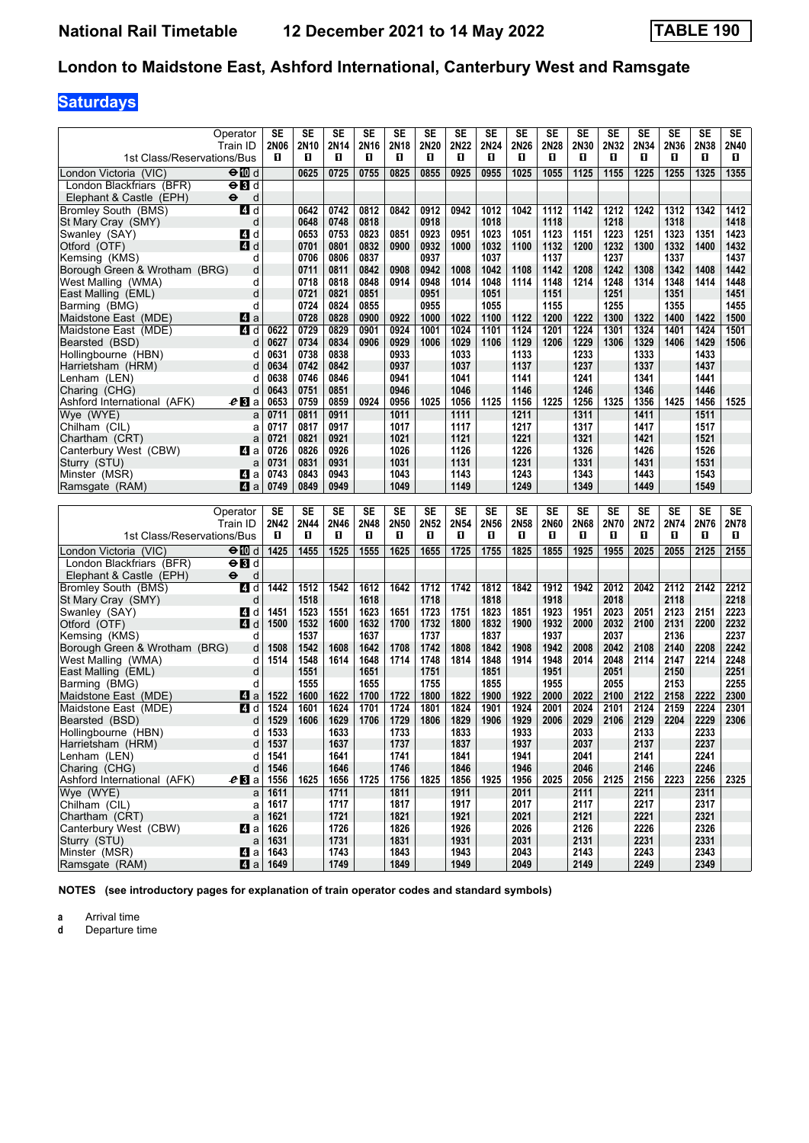# **Saturdays**

| 1st Class/Reservations/Bus               | Operator<br>Train ID      | SE<br>2N06<br>п                       | SE<br>2N10<br>О | SE<br>2N14<br>0 | SE<br>2N16<br>O | SE<br>2N18<br>О | SE<br>2N20<br>0 | SE<br>2N22<br>О | <b>SE</b><br>2N24<br>O | SE<br>2N26<br>O | SE<br>2N28<br>O | SE<br>2N30<br>п | SE<br>2N32<br>п | SE<br>2N34<br>O | <b>SE</b><br>2N36<br>O | <b>SE</b><br>2N38<br>O. | SE<br>2N40<br>O |
|------------------------------------------|---------------------------|---------------------------------------|-----------------|-----------------|-----------------|-----------------|-----------------|-----------------|------------------------|-----------------|-----------------|-----------------|-----------------|-----------------|------------------------|-------------------------|-----------------|
| London Victoria (VIC)                    | ⊖n d                      |                                       | 0625            | 0725            | 0755            | 0825            | 0855            | 0925            | 0955                   | 1025            | 1055            | 1125            | 1155            | 1225            | 1255                   | 1325                    | 1355            |
| London Blackfriars (BFR)                 | $\Theta$ $\blacksquare$ d |                                       |                 |                 |                 |                 |                 |                 |                        |                 |                 |                 |                 |                 |                        |                         |                 |
| Elephant & Castle (EPH)                  | $\bullet$<br>d            |                                       |                 |                 |                 |                 |                 |                 |                        |                 |                 |                 |                 |                 |                        |                         |                 |
| <b>Bromley South (BMS)</b>               | 41 d                      |                                       | 0642            | 0742            | 0812            | 0842            | 0912            | 0942            | 1012                   | 1042            | 1112            | 1142            | 1212            | 1242            | 1312                   | 1342                    | 1412            |
| St Mary Cray (SMY)                       | d                         |                                       | 0648            | 0748            | 0818            |                 | 0918            |                 | 1018                   |                 | 1118            |                 | 1218            |                 | 1318                   |                         | 1418            |
| Swanley (SAY)                            | 4 d                       |                                       | 0653            | 0753            | 0823            | 0851            | 0923            | 0951            | 1023                   | 1051            | 1123            | 1151            | 1223            | 1251            | 1323                   | 1351                    | 1423            |
| Otford (OTF)                             | 4 d                       |                                       | 0701            | 0801            | 0832            | 0900            | 0932            | 1000            | 1032                   | 1100            | 1132            | 1200            | 1232            | 1300            | 1332                   | 1400                    | 1432            |
| Kemsing (KMS)                            | d                         |                                       | 0706            | 0806            | 0837            |                 | 0937            |                 | 1037                   |                 | 1137            |                 | 1237            |                 | 1337                   |                         | 1437            |
| Borough Green & Wrotham (BRG)            | d                         |                                       | 0711            | 0811            | 0842            | 0908            | 0942            | 1008            | 1042                   | 1108            | 1142            | 1208            | 1242            | 1308            | 1342                   | 1408                    | 1442            |
| West Malling (WMA)                       | d                         |                                       | 0718            | 0818            | 0848            | 0914            | 0948            | 1014            | 1048                   | 1114            | 1148            | 1214            | 1248            | 1314            | 1348                   | 1414                    | 1448            |
| East Malling (EML)                       | d                         |                                       | 0721            | 0821            | 0851            |                 | 0951            |                 | 1051                   |                 | 1151            |                 | 1251            |                 | 1351                   |                         | 1451            |
| Barming (BMG)                            | d                         |                                       | 0724            | 0824            | 0855            |                 | 0955            |                 | 1055                   |                 | 1155            |                 | 1255            |                 | 1355                   |                         | 1455            |
| Maidstone East (MDE)                     | ZI a                      |                                       | 0728            | 0828            | 0900            | 0922            | 1000            | 1022            | 1100                   | 1122            | 1200            | 1222            | 1300            | 1322            | 1400                   | 1422                    | 1500            |
| Maidstone East (MDE)                     | ZI d                      | 0622                                  | 0729            | 0829            | 0901            | 0924            | 1001            | 1024            | 1101                   | 1124            | 1201            | 1224            | 1301            | 1324            | 1401                   | 1424                    | 1501            |
| Bearsted (BSD)                           | d                         | 0627                                  | 0734            | 0834            | 0906            | 0929            | 1006            | 1029            | 1106                   | 1129            | 1206            | 1229            | 1306            | 1329            | 1406                   | 1429                    | 1506            |
| Hollingbourne (HBN)                      | d<br>d                    | 0631<br>0634                          | 0738<br>0742    | 0838<br>0842    |                 | 0933<br>0937    |                 | 1033<br>1037    |                        | 1133<br>1137    |                 | 1233<br>1237    |                 | 1333<br>1337    |                        | 1433<br>1437            |                 |
| Harrietsham (HRM)                        | d                         | 0638                                  | 0746            |                 |                 | 0941            |                 | 1041            |                        |                 |                 |                 |                 | 1341            |                        | 1441                    |                 |
| Lenham (LEN)<br>Charing (CHG)            | d                         | 0643                                  | 0751            | 0846<br>0851    |                 | 0946            |                 | 1046            |                        | 1141<br>1146    |                 | 1241<br>1246    |                 | 1346            |                        | 1446                    |                 |
| Ashford International (AFK)              | $e_1$ a                   | 0653                                  | 0759            | 0859            | 0924            | 0956            | 1025            | 1056            | 1125                   | 1156            | 1225            | 1256            | 1325            | 1356            | 1425                   | 1456                    | 1525            |
| Wye (WYE)                                | a                         | 0711                                  | 0811            | 0911            |                 | 1011            |                 | 1111            |                        | 1211            |                 | 1311            |                 | 1411            |                        | 1511                    |                 |
| Chilham (CIL)                            | a                         | 0717                                  | 0817            | 0917            |                 | 1017            |                 | 1117            |                        | 1217            |                 | 1317            |                 | 1417            |                        | 1517                    |                 |
| Chartham (CRT)                           | a                         | 0721                                  | 0821            | 0921            |                 | 1021            |                 | 1121            |                        | 1221            |                 | 1321            |                 | 1421            |                        | 1521                    |                 |
| Canterbury West (CBW)                    | ZI a                      | 0726                                  | 0826            | 0926            |                 | 1026            |                 | 1126            |                        | 1226            |                 | 1326            |                 | 1426            |                        | 1526                    |                 |
| Sturry (STU)                             | a                         | 0731                                  | 0831            | 0931            |                 | 1031            |                 | 1131            |                        | 1231            |                 | 1331            |                 | 1431            |                        | 1531                    |                 |
| Minster (MSR)                            | ZI a                      | 0743                                  | 0843            | 0943            |                 | 1043            |                 | 1143            |                        | 1243            |                 | 1343            |                 | 1443            |                        | 1543                    |                 |
| Ramsgate (RAM)                           | Z1 a                      | 0749                                  | 0849            | 0949            |                 | 1049            |                 | 1149            |                        | 1249            |                 | 1349            |                 | 1449            |                        | 1549                    |                 |
|                                          |                           |                                       |                 |                 |                 |                 |                 |                 |                        |                 |                 |                 |                 |                 |                        |                         |                 |
|                                          |                           |                                       |                 |                 |                 |                 |                 |                 |                        |                 |                 |                 |                 |                 |                        |                         |                 |
|                                          | Operator                  | SE                                    | SE              | SE              | SE              | SE              | SE              | SE              | SE                     | SE              | SE              | SE              | SE              | SE              | SE                     | SE                      | SE              |
|                                          | Train ID                  | 2N42                                  | 2N44            | 2N46            | 2N48            | 2N50            | 2N52            | 2N54            | 2N56                   | 2N58            | 2N60            | 2N68            | 2N70            | 2N72            | 2N74                   | 2N76                    | 2N78            |
| 1st Class/Reservations/Bus               |                           | O                                     | 0               | П               | O               | O               | 0               | п               | O                      | O               | п               | П               | п               | П               | O                      | П                       | 0.              |
| London Victoria (VIC)                    | $\Theta$ M d              | 1425                                  | 1455            | 1525            | 1555            | 1625            | 1655            | $1725$          | 1755                   | 1825            | 1855            | 1925            | 1955            | 2025            | 2055                   | 2125                    | 2155            |
| London Blackfriars (BFR)                 | $\Theta$ $\blacksquare$ d |                                       |                 |                 |                 |                 |                 |                 |                        |                 |                 |                 |                 |                 |                        |                         |                 |
| Elephant & Castle (EPH)                  | $\bullet$<br>d            |                                       |                 |                 |                 |                 |                 |                 |                        |                 |                 |                 |                 |                 |                        |                         |                 |
| Bromley South (BMS)                      | 4 d                       | 1442                                  | 1512            | 1542            | 1612            | 1642            | 1712            | 1742            | 1812                   | 1842            | 1912            | 1942            | 2012            | 2042            | 2112                   | 2142                    | 2212            |
| St Mary Cray (SMY)                       | d                         |                                       | 1518            |                 | 1618            |                 | 1718            |                 | 1818                   |                 | 1918            |                 | 2018            |                 | 2118                   |                         | 2218            |
| Swanley (SAY)                            | ZI d                      | 1451                                  | 1523            | 1551            | 1623            | 1651            | 1723            | 1751            | 1823                   | 1851            | 1923            | 1951            | 2023            | 2051            | 2123                   | 2151                    | 2223            |
| Otford (OTF)                             | ZI d                      | 1500                                  | 1532            | 1600            | 1632            | 1700            | 1732            | 1800            | 1832                   | 1900            | 1932            | 2000            | 2032            | 2100            | 2131                   | 2200                    | 2232            |
| Kemsing (KMS)                            | d                         |                                       | 1537            |                 | 1637            |                 | 1737            |                 | 1837                   |                 | 1937            |                 | 2037            |                 | 2136                   |                         | 2237            |
| Borough Green & Wrotham (BRG)            | d                         | 1508                                  | 1542            | 1608            | 1642            | 1708            | 1742            | 1808            | 1842                   | 1908            | 1942            | 2008            | 2042            | 2108            | 2140                   | 2208                    | 2242            |
| West Malling (WMA)                       | d                         | 1514                                  | 1548            | 1614            | 1648            | 1714            | 1748            | 1814            | 1848                   | 1914            | 1948            | 2014            | 2048            | 2114            | 2147                   | 2214                    | 2248            |
| East Malling (EML)                       | d                         |                                       | 1551            |                 | 1651            |                 | 1751            |                 | 1851                   |                 | 1951            |                 | 2051            |                 | 2150                   |                         | 2251            |
| Barming (BMG)                            | d                         |                                       | 1555            |                 | 1655            |                 | 1755            |                 | 1855                   |                 | 1955            |                 | 2055            |                 | 2153                   |                         | 2255            |
| Maidstone East (MDE)                     | M a                       | 1522                                  | 1600            | 1622            | 1700            | 1722            | 1800            | 1822            | 1900                   | 1922            | 2000            | 2022            | 2100            | 2122            | 2158                   | 2222                    | 2300            |
| Maidstone East (MDE)<br>Bearsted (BSD)   | 4 d<br>d                  | 1524                                  | 1601            | 1624            | 1701            | 1724            | 1801            | 1824            | 1901                   | 1924            | 2001            | 2024            | 2101            | 2124            | 2159                   | 2224                    | 2301            |
|                                          | d                         | 1529                                  | 1606            | 1629            | 1706            | 1729            | 1806            | 1829            | 1906                   | 1929            | 2006            | 2029            | 2106            | 2129            | 2204                   | 2229                    | 2306            |
| Hollingbourne (HBN)<br>Harrietsham (HRM) | d                         | 1533<br> 1537                         |                 | 1633<br>1637    |                 | 1733<br>1737    |                 | 1833<br>1837    |                        | 1933<br>1937    |                 | 2033<br>2037    |                 | 2133<br>2137    |                        | 2233<br>2237            |                 |
| Lenham (LEN)                             | d                         | 1541                                  |                 | 1641            |                 | 1741            |                 | 1841            |                        | 1941            |                 | 2041            |                 | 2141            |                        | 2241                    |                 |
| Charing (CHG)                            | d                         | 1546                                  |                 | 1646            |                 | 1746            |                 | 1846            |                        | 1946            |                 | 2046            |                 | 2146            |                        | 2246                    |                 |
| Ashford International (AFK)              | $e_1$ a                   | 1556                                  | 1625            | 1656            | 1725            | 1756            | 1825            | 1856            | 1925                   | 1956            | 2025            | 2056            | 2125            | 2156            | 2223                   | 2256                    | 2325            |
| Wye (WYE)                                | a                         | 1611                                  |                 | 1711            |                 | 1811            |                 | 1911            |                        | 2011            |                 | 2111            |                 | 2211            |                        | 2311                    |                 |
| Chilham (CIL)                            | a                         | 1617                                  |                 | 1717            |                 | 1817            |                 | 1917            |                        | 2017            |                 | 2117            |                 | 2217            |                        | 2317                    |                 |
| Chartham (CRT)                           | a                         | 1621                                  |                 | 1721            |                 | 1821            |                 | 1921            |                        | 2021            |                 | 2121            |                 | 2221            |                        | 2321                    |                 |
| Canterbury West (CBW)                    | ZI a                      | 1626                                  |                 | 1726            |                 | 1826            |                 | 1926            |                        | 2026            |                 | 2126            |                 | 2226            |                        | 2326                    |                 |
| Sturry (STU)                             |                           | $a$ 1631                              |                 | 1731            |                 | 1831            |                 | 1931            |                        | 2031            |                 | 2131            |                 | 2231            |                        | 2331                    |                 |
| Minster (MSR)<br>Ramsgate (RAM)          |                           | $\blacksquare$ a   1643<br>$2$ a 1649 |                 | 1743<br>1749    |                 | 1843<br>1849    |                 | 1943<br>1949    |                        | 2043<br>2049    |                 | 2143<br>2149    |                 | 2243<br>2249    |                        | 2343<br>2349            |                 |

**NOTES (see introductory pages for explanation of train operator codes and standard symbols)**

**a** Arrival time<br>**d** Departure t

**d** Departure time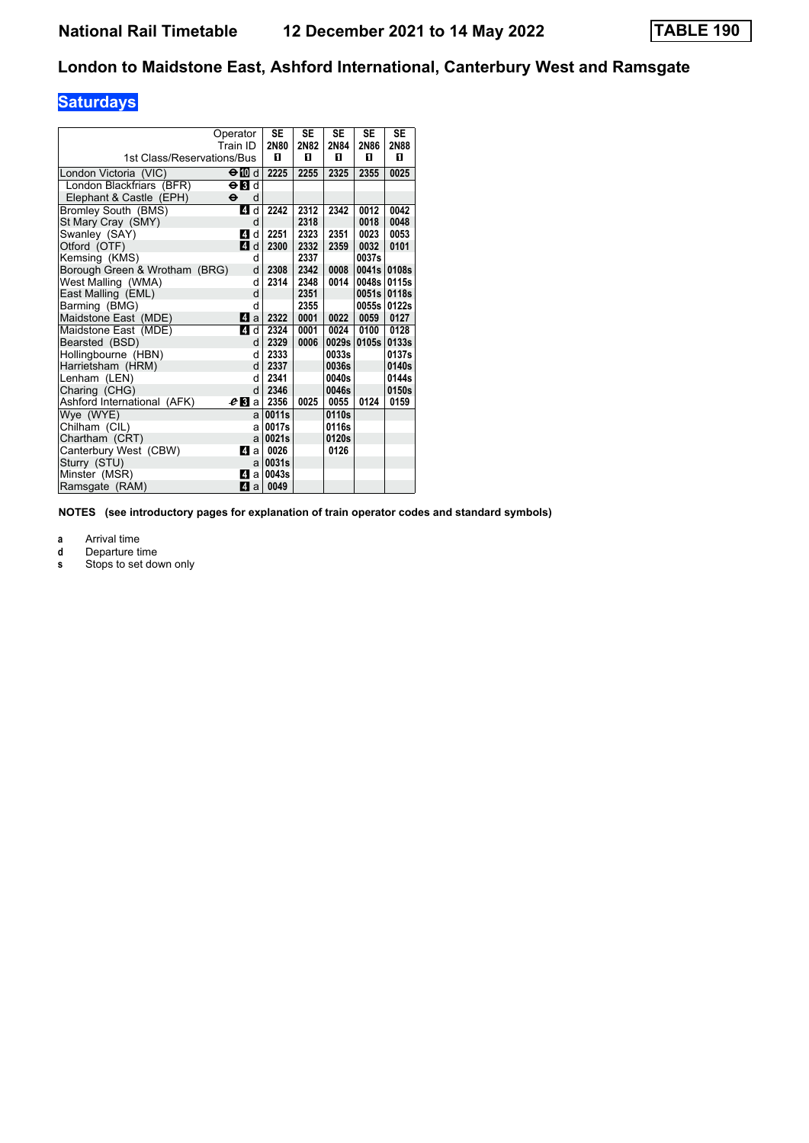# **Saturdays**

| 1st Class/Reservations/Bus    | Operator<br>Train ID      | <b>SE</b><br>2N80<br>0 | <b>SE</b><br>2N82<br>O | <b>SE</b><br>2N84<br>п | <b>SE</b><br>2N86<br>п | <b>SE</b><br>2N88<br>0 |
|-------------------------------|---------------------------|------------------------|------------------------|------------------------|------------------------|------------------------|
|                               |                           |                        |                        |                        |                        |                        |
| London Victoria (VIC)         | $\Theta$ III d            | 2225                   | 2255                   | 2325                   | 2355                   | 0025                   |
| London Blackfriars (BFR)      | $\Theta$ $\blacksquare$ d |                        |                        |                        |                        |                        |
| Elephant & Castle (EPH)       | θ<br>d                    |                        |                        |                        |                        |                        |
| Bromley South (BMS)           | 4<br>d                    | 2242                   | 2312                   | 2342                   | 0012                   | 0042                   |
| St Mary Cray (SMY)            | d                         |                        | 2318                   |                        | 0018                   | 0048                   |
| Swanley (SAY)                 | 4<br>d                    | 2251                   | 2323                   | 2351                   | 0023                   | 0053                   |
| Otford (OTF)                  | $\mathbf{A}$<br>d         | 2300                   | 2332                   | 2359                   | 0032                   | 0101                   |
| Kemsing (KMS)                 | d                         |                        | 2337                   |                        | 0037s                  |                        |
| Borough Green & Wrotham (BRG) | d                         | 2308                   | 2342                   | 0008                   | 0041s                  | 0108s                  |
| West Malling (WMA)            | d                         | 2314                   | 2348                   | 0014                   | 0048s                  | 0115s                  |
| East Malling (EML)            | d                         |                        | 2351                   |                        | 0051s                  | 0118s                  |
| Barming (BMG)                 | d                         |                        | 2355                   |                        | 0055s                  | 0122s                  |
| Maidstone East (MDE)          | 4<br>a                    | 2322                   | 0001                   | 0022                   | 0059                   | 0127                   |
| Maidstone East (MDE)          | $\overline{A}$<br>d       | 2324                   | 0001                   | 0024                   | 0100                   | 0128                   |
| Bearsted (BSD)                | d                         | 2329                   | 0006                   | 0029s                  | 0105s                  | 0133s                  |
| Hollingbourne (HBN)           | d                         | 2333                   |                        | 0033s                  |                        | 0137s                  |
| Harrietsham (HRM)             | d                         | 2337                   |                        | 0036s                  |                        | 0140s                  |
| Lenham (LEN)                  | d                         | 2341                   |                        | 0040s                  |                        | 0144s                  |
| Charing (CHG)                 | d                         | 2346                   |                        | 0046s                  |                        | 0150s                  |
| Ashford International (AFK)   | eВ<br>a                   | 2356                   | 0025                   | 0055                   | 0124                   | 0159                   |
| Wye (WYE)                     | a                         | 0011s                  |                        | 0110s                  |                        |                        |
| Chilham (CIL)                 | a                         | 0017s                  |                        | 0116s                  |                        |                        |
| Chartham (CRT)                | a                         | 0021s                  |                        | 0120s                  |                        |                        |
| Canterbury West (CBW)         | 4<br>a                    | 0026                   |                        | 0126                   |                        |                        |
| Sturry (STU)                  | a                         | 0031s                  |                        |                        |                        |                        |
| Minster (MSR)                 | 4<br>a                    | 0043s                  |                        |                        |                        |                        |
| Ramsgate (RAM)                | 4 a                       | 0049                   |                        |                        |                        |                        |

**NOTES (see introductory pages for explanation of train operator codes and standard symbols)**

**a** Arrival time<br>**d** Departure ti

- **d** Departure time<br>**s** Stops to set do
- Stops to set down only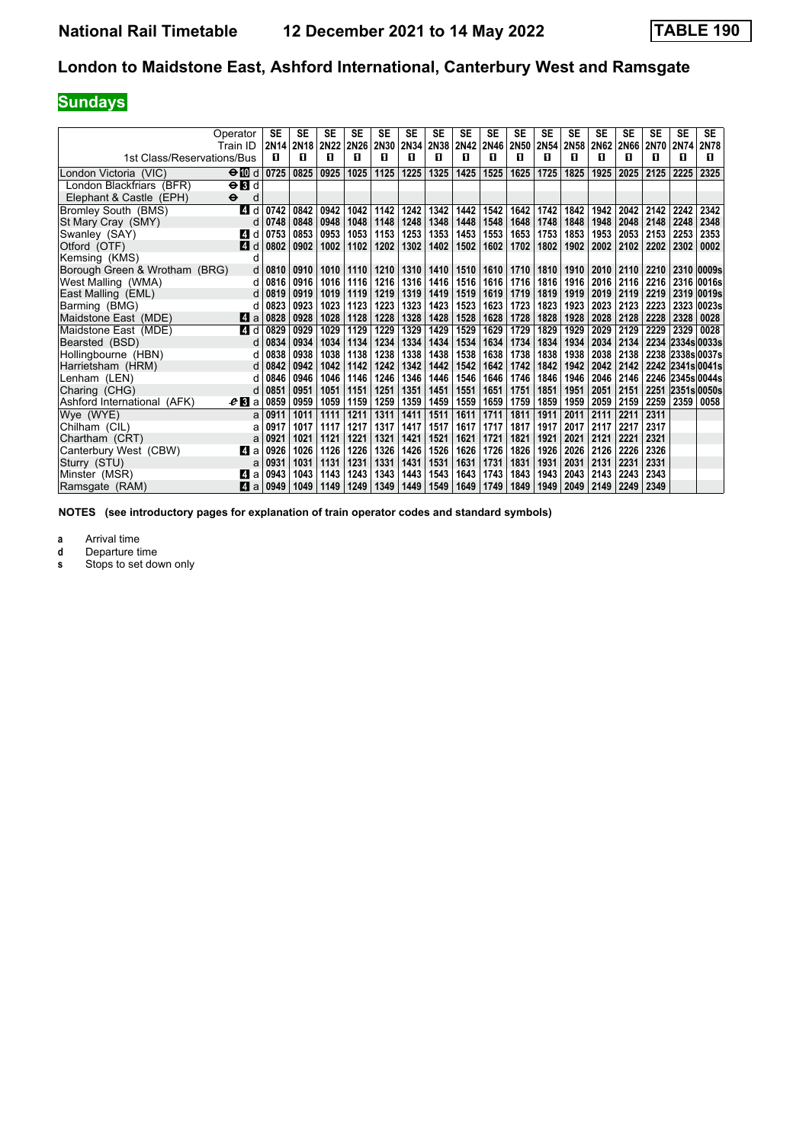# **Sundays**

|                               | Operator<br>Train ID           | SE<br>2N <sub>14</sub> | SE<br>2N <sub>18</sub> | <b>SE</b><br>2N22 | SE<br><b>2N26</b> | <b>SE</b><br><b>2N30</b> | <b>SE</b><br>2N34 | SE<br>2N38 | SE<br><b>2N42</b> | SE<br><b>2N46</b> | SE<br><b>2N50</b> | <b>SE</b><br>2N54 | <b>SE</b><br><b>2N58</b> | <b>SE</b><br>2N62 | <b>SE</b><br><b>2N66</b> | <b>SE</b><br><b>2N70</b> | <b>SE</b><br>2N74 | <b>SE</b><br>2N78 |
|-------------------------------|--------------------------------|------------------------|------------------------|-------------------|-------------------|--------------------------|-------------------|------------|-------------------|-------------------|-------------------|-------------------|--------------------------|-------------------|--------------------------|--------------------------|-------------------|-------------------|
| 1st Class/Reservations/Bus    |                                | п                      | п                      | п                 | п                 | п                        | п                 | п          | п                 | п                 | п                 | п                 | п                        | п                 | п                        | п                        | п                 | п                 |
|                               | ⊖Md                            | 0725                   | 0825                   | 0925              | 1025              | 1125                     | 1225              | 1325       | 1425              | 1525              | 1625              | 1725              | 1825                     | 1925              | 2025                     | 2125                     | 2225              | 2325              |
| London Victoria <i>(</i> VIC) |                                |                        |                        |                   |                   |                          |                   |            |                   |                   |                   |                   |                          |                   |                          |                          |                   |                   |
| London Blackfriars (BFR)      | $\Theta$ $\mathbf{H}$ d        |                        |                        |                   |                   |                          |                   |            |                   |                   |                   |                   |                          |                   |                          |                          |                   |                   |
| Elephant & Castle (EPH)       | $\bullet$<br>d                 |                        |                        |                   |                   |                          |                   |            |                   |                   |                   |                   |                          |                   |                          |                          |                   |                   |
| Bromley South (BMS)           | ZI d                           | 0742                   | 0842                   | 0942              | 1042              | 1142                     | 1242              | 1342       | 1442              | 1542              | 1642              | 1742              | 1842                     | 1942              | 2042                     | 2142                     | 2242              | 2342              |
| St Mary Cray (SMY)            | d                              | 0748                   | 0848                   | 0948              | 1048              | 1148                     | 1248              | 1348       | 1448              | 1548              | 1648              | 1748              | 1848                     | 1948              | 2048                     | 2148                     | 2248              | 2348              |
| Swanley (SAY)                 | <b>4</b><br>d                  | 0753                   | 0853                   | 0953              | 1053              | 1153                     | 1253              | 1353       | 1453              | 1553              | 1653              | 1753              | 1853                     | 1953              | 2053                     | 2153                     | 2253              | 2353              |
| Otford (OTF)                  | ZI d                           | 0802                   | 0902                   | 1002              | 1102              | 1202                     | 1302              | 1402       | 1502              | 1602              | 1702              | 1802              | 1902                     | 2002              | 2102                     | 2202                     | 2302              | 0002              |
| Kemsing (KMS)                 | d                              |                        |                        |                   |                   |                          |                   |            |                   |                   |                   |                   |                          |                   |                          |                          |                   |                   |
| Borough Green & Wrotham (BRG) | d                              | 0810                   | 0910                   | 1010              | 1110              | 1210                     | 1310              | 1410       | 1510              | 1610              | 1710              | 1810              | 1910                     | 2010              | 2110                     | 2210                     |                   | 2310 0009s        |
| West Malling (WMA)            | d                              | 0816                   | 0916                   | 1016              | 1116              | 1216                     | 1316              | 1416       | 1516              | 1616              | 1716              | 1816              | 1916                     | 2016              | 2116                     | 2216                     | 2316              | 0016s             |
| East Malling (EML)            |                                | 0819                   | 0919                   | 1019              | 1119              | 1219                     | 1319              | 1419       | 1519              | 1619              | 1719              | 1819              | 1919                     | 2019              | 2119                     | 2219                     | 2319              | 0019s             |
| Barming (BMG)                 | d                              | 0823                   | 0923                   | 1023              | 1123              | 1223                     | 1323              | 1423       | 1523              | 1623              | 1723              | 1823              | 1923                     | 2023              | 2123                     | 2223                     | 2323              | 0023s             |
| Maidstone East (MDE)          | <b>ZI</b> a                    | 0828                   | 0928                   | 1028              | 1128              | 1228                     | 1328              | 1428       | 1528              | 1628              | 1728              | 1828              | 1928                     | 2028              | 2128                     | 2228                     | 2328              | 0028              |
| Maidstone East (MDE)          | ZI d                           | 0829                   | 0929                   | 1029              | 1129              | 1229                     | 1329              | 1429       | 1529              | 1629              | 1729              | 1829              | 1929                     | 2029              | 2129                     | 2229                     | 2329              | 0028              |
| Bearsted (BSD)                | d                              | 0834                   | 0934                   | 1034              | 1134              | 1234                     | 1334              | 1434       | 1534              | 1634              | 1734              | 1834              | 1934                     | 2034              | 2134                     | 2234                     | 2334s 0033s       |                   |
| Hollingbourne (HBN)           | d                              | 0838                   | 0938                   | 1038              | 1138              | 1238                     | 1338              | 1438       | 1538              | 1638              | 1738              | 1838              | 1938                     | 2038              | 2138                     |                          |                   | 2238 2338s 0037s  |
| Harrietsham (HRM)             | d                              | 0842                   | 0942                   | 1042              | 1142              | 1242                     | 1342              | 1442       | 1542              | 1642              | 1742              | 1842              | 1942                     | 2042              | 2142                     |                          |                   | 2242 2341s 0041s  |
| Lenham (LEN)                  | d                              | 0846                   | 0946                   | 1046              | 1146              | 1246                     | 1346              | 1446       | 1546              | 1646              | 1746              | 1846              | 1946                     | 2046              | 2146                     | 2246                     |                   | 2345s 0044s       |
| Charing (CHG)                 | d                              | 0851                   | 0951                   | 1051              | 1151              | 1251                     | 1351              | 1451       | 1551              | 1651              | 1751              | 1851              | 1951                     | 2051              | 2151                     | 2251                     |                   | 2351s 0050s       |
| Ashford International (AFK)   | $\boldsymbol{e}\,\mathbf{B}$ a | 0859                   | 0959                   | 1059              | 1159              | 1259                     | 1359              | 1459       | 1559              | 1659              | 1759              | 1859              | 1959                     | 2059              | 2159                     | 2259                     | 2359              | 0058              |
| Wye (WYE)                     | a                              | 0911                   | 1011                   | 1111              | 1211              | 1311                     | 1411              | 1511       | 1611              | 1711              | 1811              | 1911              | 2011                     | 2111              | 2211                     | 2311                     |                   |                   |
| Chilham (CIL)                 | a                              | 0917                   | 1017                   | 1117              | 1217              | 1317                     | 1417              | 1517       | 1617              | 1717              | 1817              | 1917              | 2017                     | 2117              | 2217                     | 2317                     |                   |                   |
| Chartham (CRT)                | a                              | 0921                   | 1021                   | 1121              | 1221              | 1321                     | 1421              | 1521       | 1621              | 1721              | 1821              | 1921              | 2021                     | 2121              | 2221                     | 2321                     |                   |                   |
| Canterbury West (CBW)         | ZI a                           | 0926                   | 1026                   | 1126              | 1226              | 1326                     | 1426              | 1526       | 1626              | 1726              | 1826              | 1926              | 2026                     | 2126              | 2226                     | 2326                     |                   |                   |
| Sturry (STU)                  | a                              | 0931                   | 1031                   | 1131              | 1231              | 1331                     | 1431              | 1531       | 1631              | 1731              | 1831              | 1931              | 2031                     | 2131              | 2231                     | 2331                     |                   |                   |
| Minster (MSR)                 | M a                            | 0943                   | 1043                   | 1143              | 1243              | 1343                     | 1443              | 1543       | 1643              | 1743              | 1843              | 1943              | 2043                     | 2143              | 2243                     | 2343                     |                   |                   |
| Ramsgate (RAM)                | ZI a                           | 0949                   | 1049                   | 1149              | 1249              | 1349                     | 1449              | 1549       | 1649              | 1749              | 1849              | 1949              | 2049                     | 2149              | 2249                     | 2349                     |                   |                   |

**NOTES (see introductory pages for explanation of train operator codes and standard symbols)**

**a** Arrival time<br>**d** Departure ti

**d** Departure time<br>**s** Stops to set do

Stops to set down only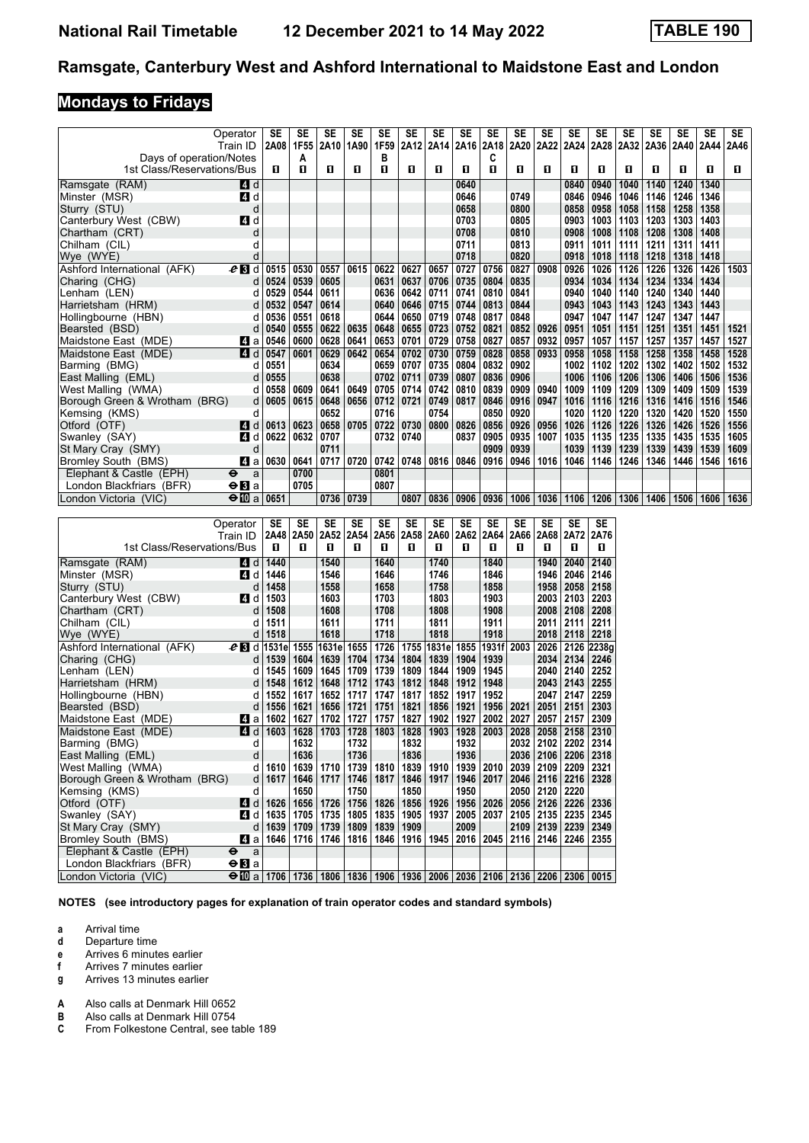### Ramsgate, Canterbury West and Ashford International to Maidstone East and London

# **Mondays to Fridays**

|                               | Operator<br>Train ID                                                                                     | SE<br>2A08 | SE<br>1F55 | SE<br>2A10   | SE<br>1A90                                                                 | SE<br>1F59  | SE                        | SE          | SE          | SE         | SE   | SE<br>2A12   2A14   2A16   2A18   2A20   2A22   2A24   2A28   2A32 | SE          | SE          | SE            | SE   | SE<br>2A36 2A40 | SE<br>2A44 | SE<br>2A46 |
|-------------------------------|----------------------------------------------------------------------------------------------------------|------------|------------|--------------|----------------------------------------------------------------------------|-------------|---------------------------|-------------|-------------|------------|------|--------------------------------------------------------------------|-------------|-------------|---------------|------|-----------------|------------|------------|
| Days of operation/Notes       |                                                                                                          |            | A          |              |                                                                            | в           |                           |             |             | С          |      |                                                                    |             |             |               |      |                 |            |            |
| 1st Class/Reservations/Bus    |                                                                                                          | П          | 0          | п            | П                                                                          | O           | П                         | O           | П           | O          | 0    | П                                                                  | П           | O           | п             | 0    | п               | O          | П          |
| Ramsgate (RAM)                | 4 d                                                                                                      |            |            |              |                                                                            |             |                           |             | 0640        |            |      |                                                                    | 0840        | 0940        | 1040          | 1140 | 1240            | 1340       |            |
| Minster (MSR)                 | 4 d                                                                                                      |            |            |              |                                                                            |             |                           |             | 0646        |            | 0749 |                                                                    | 0846        | 0946        | 1046          | 1146 | 1246            | 1346       |            |
| Sturry (STU)                  | d                                                                                                        |            |            |              |                                                                            |             |                           |             | 0658        |            | 0800 |                                                                    | 0858        | 0958        | 1058          | 1158 | 1258            | 1358       |            |
| Canterbury West (CBW)         | 4 d                                                                                                      |            |            |              |                                                                            |             |                           |             | 0703        |            | 0805 |                                                                    | 0903        | 1003        | 1103          | 1203 | 1303            | 1403       |            |
| Chartham (CRT)                | d                                                                                                        |            |            |              |                                                                            |             |                           |             | 0708        |            | 0810 |                                                                    | 0908        |             | $1008$   1108 | 1208 | 1308            | 1408       |            |
| Chilham (CIL)                 | d                                                                                                        |            |            |              |                                                                            |             |                           |             | 0711        |            | 0813 |                                                                    | 0911        | 1011        | 1111          | 1211 | 1311            | 1411       |            |
|                               | d                                                                                                        |            |            |              |                                                                            |             |                           |             | 0718        |            | 0820 |                                                                    | 0918        |             |               | 1218 | 1318            | 1418       |            |
| Wye (WYE)                     |                                                                                                          |            |            |              |                                                                            |             |                           |             |             |            |      |                                                                    |             |             | $1018$   1118 |      |                 |            |            |
| Ashford International (AFK)   | $e_1$ d                                                                                                  | 0515       | 0530       | 0557         | 0615                                                                       | 0622        | 0627                      | 0657        | 0727        | 0756       | 0827 | 0908                                                               | 0926        | 1026        | 1126          | 1226 | 1326            | 1426       | 1503       |
| Charing (CHG)                 | d                                                                                                        | 0524       | 0539       | 0605         |                                                                            |             | 0631 0637                 |             | 0706   0735 | 0804       | 0835 |                                                                    | 0934        | 1034        | 1134          | 1234 | 1334            | 1434       |            |
| Lenham (LEN)                  | d                                                                                                        | 0529       | 0544       | 0611         |                                                                            |             | 0636 0642                 | 0711        | 0741        | 0810       | 0841 |                                                                    | 0940        | 1040        | 1140          | 1240 | 1340            | 1440       |            |
| Harrietsham (HRM)             | d                                                                                                        | 0532       | 0547       | 0614         |                                                                            |             | 0640   0646   0715        |             | 0744        | 0813       | 0844 |                                                                    | 0943        | 1043        | 1143          | 1243 | 1343            | 1443       |            |
| Hollingbourne (HBN)           | d                                                                                                        | 0536       | 0551       | 0618         |                                                                            | 0644        | 0650                      | 0719        | 0748        | 0817       | 0848 |                                                                    | 0947        | 1047        | 1147          | 1247 | 1347            | 1447       |            |
| Bearsted (BSD)                | d                                                                                                        | 0540       | 0555       | 0622         | 0635                                                                       | 0648        | 0655                      | 0723        | 0752        | 0821       | 0852 | 0926                                                               | 0951        | 1051        | 1151          | 1251 | 1351            | 1451       | 1521       |
| Maidstone East (MDE)          | <b>Zl</b> a                                                                                              | 0546       | 0600       | 0628         | 0641                                                                       | 0653 0701   |                           | 0729   0758 |             | 0827       | 0857 | 0932                                                               | 0957        | 1057        | 1157          | 1257 | 1357            | 1457       | 1527       |
| Maidstone East (MDE)          | 4 d                                                                                                      | 0547       | 0601       | 0629         | 0642                                                                       | 0654        | 0702                      | 0730        | 0759        | 0828       | 0858 | 0933                                                               | 0958        | 1058        | 1158          | 1258 | 1358            | 1458       | 1528       |
| Barming (BMG)                 | d                                                                                                        | 0551       |            | 0634         |                                                                            |             | 0659   0707               | 0735        | 0804        | 0832       | 0902 |                                                                    | 1002        | 1102        | 1202          | 1302 | 1402            | 1502       | 1532       |
| East Malling (EML)            | d                                                                                                        | 0555       |            | 0638         |                                                                            | 0702        | 0711                      | 0739        | 0807        | 0836       | 0906 |                                                                    | 1006        | 1106        | 1206          | 1306 | 1406            | 1506       | 1536       |
| West Malling (WMA)            | d                                                                                                        | 0558       | 0609       | 0641         | 0649                                                                       |             | 0705 0714                 | 0742        | 0810        | 0839       | 0909 | 0940                                                               | 1009        | 1109        | 1209          | 1309 | 1409            | 1509       | 1539       |
| Borough Green & Wrotham (BRG) | d                                                                                                        | 0605       | 0615       | 0648         | 0656                                                                       |             | 0712   0721               | 0749        | 0817        | 0846       | 0916 | 0947                                                               | 1016        | 1116        | 1216          | 1316 | 1416            | 1516       | 1546       |
| Kemsing (KMS)                 | d                                                                                                        |            |            | 0652         |                                                                            | 0716        |                           | 0754        |             | 0850       | 0920 |                                                                    | 1020        | 1120        | 1220          | 1320 | 1420            | 1520       | 1550       |
| Otford (OTF)                  | ZI d                                                                                                     | 0613       | 0623       | 0658         |                                                                            | 0705   0722 | 0730                      | 0800        | 0826        | 0856       | 0926 | 0956                                                               | 1026        | 1126        | 1226          | 1326 | 1426            | 1526       | 1556       |
|                               |                                                                                                          |            |            |              |                                                                            |             |                           |             |             |            |      |                                                                    |             |             |               |      |                 |            |            |
| Swanley (SAY)                 | 4 d                                                                                                      | 0622       | 0632       | 0707         |                                                                            | 0732        | 0740                      |             | 0837        | 0905       | 0935 | 1007                                                               | 1035        | 1135        | 1235          | 1335 | 1435            | 1535       | 1605       |
| St Mary Cray (SMY)            | d                                                                                                        |            |            | 0711         |                                                                            |             |                           |             |             | 0909       | 0939 |                                                                    | 1039        | 1139        | 1239          | 1339 | 1439            | 1539       | 1609       |
| Bromley South (BMS)           | ZI a                                                                                                     | 0630       | 0641       |              | 0717   0720                                                                |             | 0742   0748   0816   0846 |             |             | 0916       | 0946 |                                                                    | 1016 1046   | 1146   1246 |               |      | 1346 1446       | 1546       | 1616       |
| Elephant & Castle (EPH)       | $\bullet$<br>a                                                                                           |            | 0700       |              |                                                                            | 0801        |                           |             |             |            |      |                                                                    |             |             |               |      |                 |            |            |
| London Blackfriars (BFR)      | $\Theta$ <b>El</b> a                                                                                     |            | 0705       |              |                                                                            | 0807        |                           |             |             |            |      |                                                                    |             |             |               |      |                 |            |            |
| London Victoria (VIC)         | $\bigoplus$ a                                                                                            | 0651       |            | 0736 0739    |                                                                            |             | 0807                      | 0836        | 0906        | 0936       | 1006 |                                                                    | 1036 1106   | 1206 1306   |               |      | 1406   1506     | 1606       | 1636       |
|                               |                                                                                                          |            |            |              |                                                                            |             |                           |             |             |            |      |                                                                    |             |             |               |      |                 |            |            |
|                               | Operator                                                                                                 | SE         | SE         | SE           | SE                                                                         | SE          | SE                        | SE          | SE          | SE         | SE   | SE                                                                 | SE          | SE          |               |      |                 |            |            |
|                               | Train ID                                                                                                 | 2A48       | 2A50       | 2A52         | 2A54                                                                       | 2A56        | 2A58                      |             | 2A60 2A62   | 2A64       | 2A66 |                                                                    | 2A68 2A72   | 2A76        |               |      |                 |            |            |
| 1st Class/Reservations/Bus    |                                                                                                          | O          | O          | 0            | O                                                                          | O           | 0                         | П           | п           | O          | O    | O                                                                  | 0           | 0           |               |      |                 |            |            |
| Ramsgate (RAM)                | <b>4</b> d                                                                                               | 1440       |            | 1540         |                                                                            | 1640        |                           | 1740        |             | 1840       |      | 1940                                                               | 2040        | 2140        |               |      |                 |            |            |
| Minster (MSR)                 | 4 d                                                                                                      | 1446       |            | 1546         |                                                                            | 1646        |                           | 1746        |             | 1846       |      |                                                                    | 1946 2046   | 2146        |               |      |                 |            |            |
| Sturry (STU)                  | d                                                                                                        | 1458       |            | 1558         |                                                                            | 1658        |                           | 1758        |             | 1858       |      |                                                                    | 1958   2058 | 2158        |               |      |                 |            |            |
| Canterbury West (CBW)         | ZI d                                                                                                     | 1503       |            | 1603         |                                                                            | 1703        |                           | 1803        |             | 1903       |      |                                                                    | 2003 2103   | 2203        |               |      |                 |            |            |
| Chartham (CRT)                | d                                                                                                        | 1508       |            | 1608         |                                                                            | 1708        |                           | 1808        |             | 1908       |      |                                                                    | 2008 2108   | 2208        |               |      |                 |            |            |
| Chilham (CIL)                 | d                                                                                                        | 1511       |            | 1611         |                                                                            | 1711        |                           | 1811        |             | 1911       |      |                                                                    | 2011 2111   | 2211        |               |      |                 |            |            |
| Wye (WYE)                     | d                                                                                                        | 1518       |            | 1618         |                                                                            | 1718        |                           | 1818        |             | 1918       |      |                                                                    | 2018 2118   | 2218        |               |      |                 |            |            |
| Ashford International (AFK)   | $e_3$ d                                                                                                  | ∣1531e     |            | 1555   1631e | 1655                                                                       | 1726        |                           | 1755 1831e  | 1855        | 1931f 2003 |      |                                                                    | 2026 2126   | 2238g       |               |      |                 |            |            |
| Charing (CHG)                 | d                                                                                                        | 1539       | 1604       | 1639         | 1704                                                                       | 1734        | 1804                      | 1839        | 1904        | 1939       |      | 2034                                                               | 2134        | 2246        |               |      |                 |            |            |
|                               |                                                                                                          | 1545       | 1609       | 1645         | 1709                                                                       | 1739        | 1809                      | 1844        | 1909        | 1945       |      |                                                                    | 2040 2140   | 2252        |               |      |                 |            |            |
| Lenham (LEN)                  | d                                                                                                        |            |            |              |                                                                            |             |                           |             |             |            |      |                                                                    |             |             |               |      |                 |            |            |
| Harrietsham (HRM)             | d                                                                                                        | 1548       | 1612       | 1648         | 1712                                                                       |             | 1743 1812                 | 1848        | 1912        | 1948       |      |                                                                    | 2043 2143   | 2255        |               |      |                 |            |            |
| Hollingbourne (HBN)           | d                                                                                                        | 1552       | 1617       | 1652         | 1717                                                                       | 1747        | 1817                      | 1852        | 1917        | 1952       |      | 2047                                                               | 2147        | 2259        |               |      |                 |            |            |
| Bearsted (BSD)                | d                                                                                                        | 1556       | 1621       | 1656         | 1721                                                                       | 1751        | 1821                      | 1856   1921 |             | 1956       | 2021 | 2051                                                               | 2151        | 2303        |               |      |                 |            |            |
| Maidstone East (MDE)          | M a                                                                                                      | 1602       | 1627       |              | 1702   1727                                                                | 1757        | 1827                      | 1902        | 1927        | 2002       | 2027 | 2057                                                               | 2157   2309 |             |               |      |                 |            |            |
| Maidstone East (MDE)          | $\boxed{4}$ d                                                                                            | 1603       |            |              | 1628 1703 1728 1803 1828 1903 1928 2003                                    |             |                           |             |             |            |      | 2028 2058 2158 2310                                                |             |             |               |      |                 |            |            |
| Barming (BMG)                 | d                                                                                                        |            | 1632       |              | 1732                                                                       |             | 1832                      |             | 1932        |            |      | 2032 2102 2202                                                     |             | 2314        |               |      |                 |            |            |
| East Malling (EML)            | d                                                                                                        |            | 1636       |              | 1736                                                                       |             | 1836                      |             | 1936        |            |      | 2036 2106 2206                                                     |             | 2318        |               |      |                 |            |            |
| West Malling (WMA)            | d                                                                                                        | 1610       | 1639       | 1710         | 1739                                                                       | 1810        | 1839                      | 1910        | 1939        | 2010       | 2039 | 2109                                                               | 2209        | 2321        |               |      |                 |            |            |
| Borough Green & Wrotham (BRG) | d                                                                                                        | 1617       | 1646       | 1717         | 1746                                                                       | 1817        |                           | 1846   1917 | 1946        | 2017       |      | 2046 2116 2216                                                     |             | 2328        |               |      |                 |            |            |
| Kemsing (KMS)                 | d                                                                                                        |            | 1650       |              | 1750                                                                       |             | 1850                      |             | 1950        |            | 2050 | 2120                                                               | 2220        |             |               |      |                 |            |            |
| Otford (OTF)                  | <b>4</b> d                                                                                               | 1626       | 1656       | 1726         |                                                                            |             | 1756   1826   1856   1926 |             | 1956        | 2026       |      | 2056   2126   2226                                                 |             | 2336        |               |      |                 |            |            |
| Swanley (SAY)                 | 41 d                                                                                                     | 1635       | 1705       | 1735         | 1805                                                                       |             | 1835   1905   1937        |             | 2005        | 2037       |      | 2105 2135 2235                                                     |             | 2345        |               |      |                 |            |            |
| St Mary Cray (SMY)            | d                                                                                                        | 1639       | 1709       |              | 1739   1809   1839   1909                                                  |             |                           |             | 2009        |            |      | 2109 2139 2239                                                     |             | 2349        |               |      |                 |            |            |
| Bromley South (BMS)           | 41 a                                                                                                     | 1646       | 1716       |              | 1746   1816   1846   1916   1945   2016   2045   2116   2146   2246   2355 |             |                           |             |             |            |      |                                                                    |             |             |               |      |                 |            |            |
| Elephant & Castle (EPH)       | $\bullet$<br>a                                                                                           |            |            |              |                                                                            |             |                           |             |             |            |      |                                                                    |             |             |               |      |                 |            |            |
| London Blackfriars (BFR)      | $\Theta$ <b>B</b> a                                                                                      |            |            |              |                                                                            |             |                           |             |             |            |      |                                                                    |             |             |               |      |                 |            |            |
| London Victoria (VIC)         | $\Theta$ 10 a   1706   1736   1806   1836   1906   1936   2006   2036   2106   2136   2206   2306   0015 |            |            |              |                                                                            |             |                           |             |             |            |      |                                                                    |             |             |               |      |                 |            |            |
|                               |                                                                                                          |            |            |              |                                                                            |             |                           |             |             |            |      |                                                                    |             |             |               |      |                 |            |            |

**NOTES (see introductory pages for explanation of train operator codes and standard symbols)**

**a** Arrival time<br>**d** Departure t

**d** Departure time

**e** Arrives 6 minutes earlier

**f** Arrives 7 minutes earlier **g** Arrives 13 minutes earlier

**A** Also calls at Denmark Hill 0652<br>**B** Also calls at Denmark Hill 0754

**B** Also calls at Denmark Hill 0754<br>**C** From Folkestone Central, see ta

From Folkestone Central, see table 189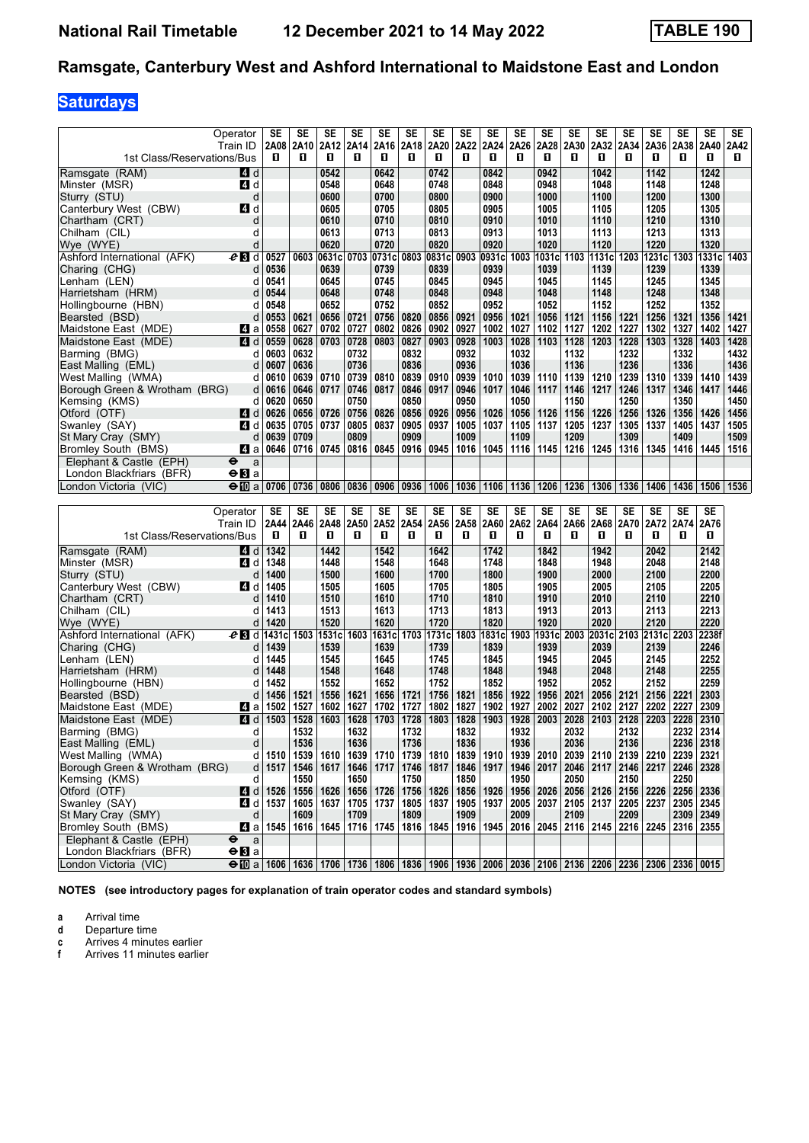### Ramsgate, Canterbury West and Ashford International to Maidstone East and London

## **Saturdays**

|                                                   | Operator<br>Train ID                                                                                                                                            | SE<br>2A08              | SE<br>2A10 | SE                | SE<br>2A12   2A14         | <b>SE</b>    | SE<br>2A16   2A18   2A20 | SE           | <b>SE</b><br>2A22 | SE           | SE<br>2A24 2A26 | <b>SE</b><br>2A28                | <b>SE</b><br>2A30 | <b>SE</b><br>2A32 | SE<br>2A34   | <b>SE</b><br>2A36 | SE<br>2A38     | <b>SE</b><br>2A40 | SE<br>2A42   |
|---------------------------------------------------|-----------------------------------------------------------------------------------------------------------------------------------------------------------------|-------------------------|------------|-------------------|---------------------------|--------------|--------------------------|--------------|-------------------|--------------|-----------------|----------------------------------|-------------------|-------------------|--------------|-------------------|----------------|-------------------|--------------|
| 1st Class/Reservations/Bus                        |                                                                                                                                                                 | п                       | O          | O                 | п                         | 0            | п                        | П            | O                 | O            | п               | П                                | п                 | п                 | п            | O                 | п              | П                 | п            |
| Ramsgate (RAM)                                    | 4 d                                                                                                                                                             |                         |            | 0542              |                           | 0642         |                          | 0742         |                   | 0842         |                 | 0942                             |                   | 1042              |              | 1142              |                | 1242              |              |
| Minster (MSR)                                     | ZI d                                                                                                                                                            |                         |            | 0548              |                           | 0648         |                          | 0748         |                   | 0848         |                 | 0948                             |                   | 1048              |              | 1148              |                | 1248              |              |
| Sturry (STU)                                      | d                                                                                                                                                               |                         |            | 0600              |                           | 0700         |                          | 0800         |                   | 0900         |                 | 1000                             |                   | 1100              |              | 1200              |                | 1300              |              |
| Canterbury West (CBW)                             | ZI d                                                                                                                                                            |                         |            | 0605              |                           | 0705         |                          | 0805         |                   | 0905         |                 | 1005                             |                   | 1105              |              | 1205              |                | 1305              |              |
| Chartham (CRT)                                    | d                                                                                                                                                               |                         |            | 0610              |                           | 0710         |                          | 0810         |                   | 0910         |                 | 1010                             |                   | 1110              |              | 1210              |                | 1310              |              |
| Chilham (CIL)                                     | d                                                                                                                                                               |                         |            | 0613              |                           | 0713         |                          | 0813         |                   | 0913         |                 | 1013                             |                   | 1113              |              | 1213              |                | 1313              |              |
| Wye (WYE)                                         | d                                                                                                                                                               |                         |            | 0620              |                           | 0720         |                          | 0820         |                   | 0920         |                 | 1020                             |                   | 1120              |              | 1220              |                | 1320              |              |
| Ashford International (AFK)                       | $e$ B d                                                                                                                                                         | 0527                    | 0603       | 0631c             | 0703                      | 0731c        | 0803                     | 0831c        | 0903              | 0931cl       | 1003            | 1031cl                           | 1103              | 1131c             | 1203         | 1231c             | 1303           | 1331c             | 1403         |
| Charing (CHG)                                     | d                                                                                                                                                               | 0536                    |            | 0639              |                           | 0739         |                          | 0839         |                   | 0939         |                 | 1039                             |                   | 1139              |              | 1239              |                | 1339              |              |
| Lenham (LEN)                                      | d                                                                                                                                                               | 0541                    |            | 0645              |                           | 0745         |                          | 0845         |                   | 0945         |                 | 1045                             |                   | 1145              |              | 1245              |                | 1345              |              |
| Harrietsham (HRM)                                 | d                                                                                                                                                               | 0544                    |            | 0648              |                           | 0748         |                          | 0848         |                   | 0948         |                 | 1048                             |                   | 1148              |              | 1248              |                | 1348              |              |
| Hollingbourne (HBN)                               | d                                                                                                                                                               | 0548                    |            | 0652              |                           | 0752         |                          | 0852         |                   | 0952         |                 | 1052                             |                   | 1152              |              | 1252              |                | 1352              |              |
| Bearsted (BSD)                                    | d                                                                                                                                                               | 0553                    | 0621       | 0656              | 0721                      | 0756         | 0820                     | 0856         | 0921              | 0956         | 1021            | 1056                             | 1121              | 1156              | 1221         | 1256              | 1321           | 1356              | 1421         |
| Maidstone East (MDE)                              | ZI a                                                                                                                                                            | 0558                    | 0627       | 0702              | 0727                      | 0802         | 0826                     | 0902         | 0927              | 1002         | 1027            | 1102                             | 1127              | 1202              | 1227         | 1302              | 1327           | 1402              | 1427         |
| Maidstone East (MDE)                              | ZI d                                                                                                                                                            | 0559                    | 0628       |                   | 0703   0728               | 0803         | 0827                     | 0903         | 0928              | 1003         | 1028            | 1103                             | 1128              | 1203              | 1228         | 1303              | 1328           | 1403              | 1428         |
| Barming (BMG)                                     | d                                                                                                                                                               | 0603                    | 0632       |                   | 0732                      |              | 0832                     |              | 0932              |              | 1032            |                                  | 1132              |                   | 1232         |                   | 1332           |                   | 1432         |
| East Malling (EML)                                | d                                                                                                                                                               | 0607                    | 0636       |                   | 0736                      |              | 0836                     |              | 0936              |              | 1036            |                                  | 1136              |                   | 1236         |                   | 1336           |                   | 1436         |
| West Malling (WMA)                                | d                                                                                                                                                               | 0610                    | 0639       | 0710              | 0739                      | 0810         | 0839                     | 0910         | 0939              | 1010         | 1039            | 1110                             | 1139              | 1210              | 1239         | 1310              | 1339           | 1410              | 1439         |
| Borough Green & Wrotham (BRG)                     | d                                                                                                                                                               | 0616                    | 0646       | 0717              | 0746                      | 0817         | 0846                     | 0917         | 0946              | 1017         | 1046            | 1117                             | 1146              | 1217              | 1246         | 1317              | 1346           | 1417              | 1446         |
| Kemsing (KMS)                                     | d                                                                                                                                                               | 0620                    | 0650       |                   | 0750                      |              | 0850                     |              | 0950              |              | 1050            |                                  | 1150              |                   | 1250         |                   | 1350           |                   | 1450         |
| Otford (OTF)<br>Swanley (SAY)                     | ZI d                                                                                                                                                            | 0626                    | 0656       | 0726<br>0705 0737 | 0756                      | 0826<br>0837 | 0856<br>0905             | 0926<br>0937 | 0956<br>1005      | 1026<br>1037 | 1056<br>1105    | 1126<br>1137                     | 1156<br>1205      | 1226<br>1237      | 1256<br>1305 | 1326<br>1337      | 1356<br>1405   | 1426<br>1437      | 1456<br>1505 |
|                                                   | 4 d<br>d                                                                                                                                                        | 0635<br>0639            | 0709       |                   | 0805<br>0809              |              | 0909                     |              | 1009              |              | 1109            |                                  | 1209              |                   | 1309         |                   | 1409           |                   | 1509         |
| St Mary Cray (SMY)<br>Bromley South (BMS)         | Z1 a                                                                                                                                                            | 0646                    |            | $0716$   0745     | 0816                      | 0845         | 0916                     | 0945         | 1016              | 1045         | 1116            | 1145                             | 1216              | 1245              | 1316         | 1345              | 1416           | 1445              | 1516         |
| Elephant & Castle (EPH)                           | $\bullet$<br>a                                                                                                                                                  |                         |            |                   |                           |              |                          |              |                   |              |                 |                                  |                   |                   |              |                   |                |                   |              |
| London Blackfriars (BFR)                          | $\Theta$ <b>B</b> a                                                                                                                                             |                         |            |                   |                           |              |                          |              |                   |              |                 |                                  |                   |                   |              |                   |                |                   |              |
| London Victoria (VIC)                             | $\Theta$ $\Omega$ a                                                                                                                                             | 0706                    | 0736       |                   | 0806 0836                 | 0906         | 0936                     | 1006         |                   | 1036 1106    | 1136            | 1206                             | 1236              | 1306              | 1336         | 1406              | 1436           | 1506 1536         |              |
|                                                   |                                                                                                                                                                 |                         |            |                   |                           |              |                          |              |                   |              |                 |                                  |                   |                   |              |                   |                |                   |              |
|                                                   |                                                                                                                                                                 |                         |            |                   |                           |              |                          |              |                   |              |                 |                                  |                   |                   |              |                   |                |                   |              |
|                                                   |                                                                                                                                                                 |                         |            |                   |                           |              |                          |              |                   |              |                 |                                  |                   |                   |              |                   |                |                   |              |
|                                                   | Operator                                                                                                                                                        | SE                      | SE         | SE                | SE                        | SE           | SE                       | SE           | SE                | SE           | SE              | SE                               | <b>SE</b>         | <b>SE</b>         | SE           | SE                | SE             | SE                |              |
| 1st Class/Reservations/Bus                        | Train ID                                                                                                                                                        | 2A44<br>П               | 2A46<br>п  | 2A48<br>O         | 2A50<br>п                 | O            | 2A52 2A54<br>п           | 2A56<br>П    | 2A58<br>п         | 2A60<br>O.   | 2A62<br>п       | 2A64<br>П                        | 2A66<br>п         | 2A68<br>п         | 2A70<br>п    | 2A72<br>0         | 2A74<br>п      | 2A76<br>П         |              |
|                                                   |                                                                                                                                                                 |                         |            |                   |                           |              |                          |              |                   |              |                 |                                  |                   |                   |              |                   |                |                   |              |
| Ramsgate (RAM)                                    | 4 d                                                                                                                                                             | 1342                    |            | 1442              |                           | 1542         |                          | 1642         |                   | 1742         |                 | 1842                             |                   | 1942              |              | 2042              |                | 2142              |              |
| Minster (MSR)                                     | 41 d                                                                                                                                                            | 1348                    |            | 1448              |                           | 1548         |                          | 1648         |                   | 1748         |                 | 1848                             |                   | 1948              |              | 2048              |                | 2148              |              |
| Sturry (STU)                                      | d                                                                                                                                                               | 1400                    |            | 1500              |                           | 1600         |                          | 1700         |                   | 1800         |                 | 1900                             |                   | 2000              |              | 2100              |                | 2200              |              |
| Canterbury West (CBW)                             | 41 d<br>d                                                                                                                                                       | 1405<br>1410            |            | 1505              |                           | 1605         |                          | 1705         |                   | 1805<br>1810 |                 | 1905<br>1910                     |                   | 2005              |              | 2105              |                | 2205              |              |
| Chartham (CRT)<br>Chilham (CIL)                   | d                                                                                                                                                               | 1413                    |            | 1510<br>1513      |                           | 1610<br>1613 |                          | 1710<br>1713 |                   | 1813         |                 | 1913                             |                   | 2010<br>2013      |              | 2110<br>2113      |                | 2210<br>2213      |              |
| Wye (WYE)                                         | d                                                                                                                                                               | 1420                    |            | 1520              |                           | 1620         |                          | 1720         |                   | 1820         |                 | 1920                             |                   | 2020              |              | 2120              |                | 2220              |              |
| Ashford International (AFK)                       | $e$ B d $\theta$                                                                                                                                                | 1431c                   |            | 1503 1531c        |                           | 1603 1631cl  | 1703                     | 1731c 1803   |                   | 1831cl       | 1903            | 1931cl                           |                   | 2003 2031c        |              | 2103 2131c        | 2203           | 2238f             |              |
| Charing (CHG)                                     | d                                                                                                                                                               | 1439                    |            | 1539              |                           | 1639         |                          | 1739         |                   | 1839         |                 | 1939                             |                   | 2039              |              | 2139              |                | 2246              |              |
| Lenham (LEN)                                      | d                                                                                                                                                               | 1445                    |            | 1545              |                           | 1645         |                          | 1745         |                   | 1845         |                 | 1945                             |                   | 2045              |              | 2145              |                | 2252              |              |
| Harrietsham (HRM)                                 | d                                                                                                                                                               | 1448                    |            | 1548              |                           | 1648         |                          | 1748         |                   | 1848         |                 | 1948                             |                   | 2048              |              | 2148              |                | 2255              |              |
| Hollingbourne (HBN)                               | d                                                                                                                                                               | 1452                    |            | 1552              |                           | 1652         |                          | 1752         |                   | 1852         |                 | 1952                             |                   | 2052              |              | 2152              |                | 2259              |              |
| Bearsted (BSD)                                    | d                                                                                                                                                               | 1456                    | 1521       | 1556              | 1621                      | 1656         | 1721                     | 1756         | 1821              | 1856         | 1922            | 1956                             | 2021              | 2056              | 2121         | 2156              | 2221           | 2303              |              |
| Maidstone East (MDE)                              | ZI a                                                                                                                                                            | 1502                    | 1527       | 1602              | 1627                      | 1702         | 1727                     | 1802         | 1827              | 1902         | 1927            | 2002                             | 2027              | 2102              | 2127         | 2202              | 2227           | 2309              |              |
| Maidstone East (MDE)                              | 4 d                                                                                                                                                             | 1503                    | 1528       | 1603              | 1628                      | 1703         | 1728                     | 1803         | 1828              | 1903         | 1928            | 2003                             | 2028              | 2103              | 2128         | 2203              | 2228           | 2310              |              |
| Barming (BMG)                                     | d                                                                                                                                                               |                         | 1532       |                   | 1632                      |              | 1732                     |              | 1832              |              | 1932            |                                  | 2032              |                   | 2132         |                   | 2232           | 2314              |              |
| East Malling (EML)                                | d                                                                                                                                                               |                         | 1536       |                   | 1636                      |              | 1736                     |              | 1836              |              | 1936            |                                  | 2036              |                   | 2136         |                   | 2236 2318      |                   |              |
| West Malling (WMA)                                | d                                                                                                                                                               | 1510                    | 1539       | 1610              |                           | 1639   1710  | 1739                     | 1810         | 1839              | 1910         | 1939            | 2010                             | 2039 2110         |                   | 2139         | 2210              | 2239           | 2321              |              |
| Borough Green & Wrotham (BRG)                     | d                                                                                                                                                               | 1517                    | 1546       | 1617              |                           | 1646   1717  | 1746                     | 1817         | 1846              | 1917         | 1946            | 2017                             |                   | 2046 2117         | 2146         | 2217              | 2246 2328      |                   |              |
| Kemsing (KMS)                                     | d                                                                                                                                                               |                         | 1550       |                   | 1650                      |              | 1750                     |              | 1850              |              | 1950            |                                  | 2050              |                   | 2150         |                   | 2250           |                   |              |
| Otford (OTF)                                      |                                                                                                                                                                 | $\blacksquare$ d   1526 | 1556       |                   | 1626   1656   1726        |              | 1756                     | 1826         | 1856              | 1926         | 1956            | 2026                             |                   | 2056 2126         | 2156         | 2226              | 2256 2336      |                   |              |
| Swanley (SAY)                                     | 4 d                                                                                                                                                             | 1537                    | 1605       | 1637              | 1705 1737                 |              | 1805                     | 1837         | 1905              | 1937         | 2005            | 2037                             |                   | 2105 2137         | 2205         | 2237              | 2305           | 2345              |              |
| St Mary Cray (SMY)                                | d                                                                                                                                                               |                         | 1609       |                   | 1709                      |              | 1809                     |              | 1909              |              | 2009            |                                  | 2109              |                   | 2209         |                   |                | 2309 2349         |              |
| Bromley South (BMS)                               |                                                                                                                                                                 | Z1 a ∣1545              |            |                   | 1616   1645   1716   1745 |              |                          | 1816   1845  | 1916              | 1945         |                 | 2016   2045   2116   2145   2216 |                   |                   |              |                   | 2245 2316 2355 |                   |              |
| Elephant & Castle (EPH)                           | $\bullet$<br>a                                                                                                                                                  |                         |            |                   |                           |              |                          |              |                   |              |                 |                                  |                   |                   |              |                   |                |                   |              |
| London Blackfriars (BFR)<br>London Victoria (VIC) | $\Theta$ $\mathbf{B}$ a<br>$\Theta$ [0 a   1606   1636   1706   1736   1806   1836   1906   1936   2006   2036   2106   2136   2206   2236   2336   2336   0015 |                         |            |                   |                           |              |                          |              |                   |              |                 |                                  |                   |                   |              |                   |                |                   |              |

**NOTES (see introductory pages for explanation of train operator codes and standard symbols)**

**a** Arrival time<br>**d** Departure t

**d** Departure time

**c** Arrives 4 minutes earlier

**f** Arrives 11 minutes earlier